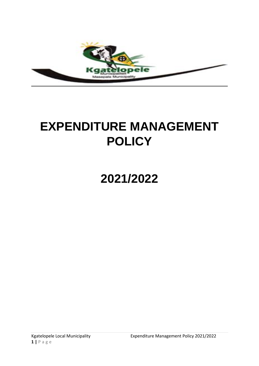

# **EXPENDITURE MANAGEMENT POLICY**

# 2021/2022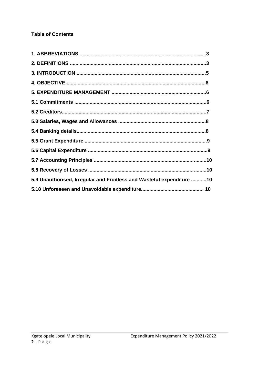## **Table of Contents**

| 5.9 Unauthorised, Irregular and Fruitless and Wasteful expenditure 10 |  |
|-----------------------------------------------------------------------|--|
|                                                                       |  |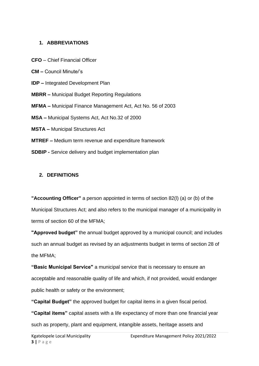#### **1. ABBREVIATIONS**

- **CFO**  Chief Financial Officer
- **CM –** Council Minute/'s
- **IDP –** Integrated Development Plan
- **MBRR –** Municipal Budget Reporting Regulations
- **MFMA –** Municipal Finance Management Act, Act No. 56 of 2003
- **MSA –** Municipal Systems Act, Act No.32 of 2000
- **MSTA –** Municipal Structures Act
- **MTREF –** Medium term revenue and expenditure framework
- **SDBIP -** Service delivery and budget implementation plan

#### **2. DEFINITIONS**

**"Accounting Officer"** a person appointed in terms of section 82(l) (a) or (b) of the Municipal Structures Act; and also refers to the municipal manager of a municipality in terms of section 60 of the MFMA;

**"Approved budget"** the annual budget approved by a municipal council; and includes such an annual budget as revised by an adjustments budget in terms of section 28 of the MFMA;

**"Basic Municipal Service"** a municipal service that is necessary to ensure an acceptable and reasonable quality of life and which, if not provided, would endanger public health or safety or the environment;

**"Capital Budget"** the approved budget for capital items in a given fiscal period. **"Capital items"** capital assets with a life expectancy of more than one financial year such as property, plant and equipment, intangible assets, heritage assets and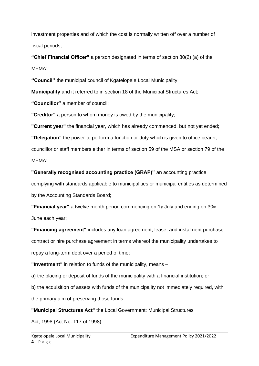investment properties and of which the cost is normally written off over a number of fiscal periods;

**"Chief Financial Officer"** a person designated in terms of section 80(2) (a) of the MFMA;

**''Council''** the municipal council of Kgatelopele Local Municipality

**Municipality** and it referred to in section 18 of the Municipal Structures Act;

**"Councillor"** a member of council;

**"Creditor"** a person to whom money is owed by the municipality;

**"Current year"** the financial year, which has already commenced, but not yet ended;

**"Delegation"** the power to perform a function or duty which is given to office bearer, councillor or staff members either in terms of section 59 of the MSA or section 79 of the MFMA;

**"Generally recognised accounting practice (GRAP)"** an accounting practice complying with standards applicable to municipalities or municipal entities as determined by the Accounting Standards Board;

**"Financial year"** a twelve month period commencing on 1st July and ending on 30th June each year;

**"Financing agreement"** includes any loan agreement, lease, and instalment purchase contract or hire purchase agreement in terms whereof the municipality undertakes to repay a long-term debt over a period of time;

**"Investment"** in relation to funds of the municipality, means –

a) the placing or deposit of funds of the municipality with a financial institution; or b) the acquisition of assets with funds of the municipality not immediately required, with the primary aim of preserving those funds;

**"Municipal Structures Act"** the Local Government: Municipal Structures

Act, 1998 (Act No. 117 of 1998);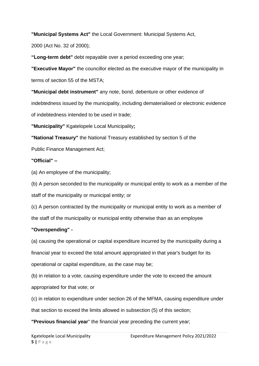**"Municipal Systems Act"** the Local Government: Municipal Systems Act,

2000 (Act No. 32 of 2000);

**"Long-term debt"** debt repayable over a period exceeding one year;

**"Executive Mayor"** the councillor elected as the executive mayor of the municipality in terms of section 55 of the MSTA;

**"Municipal debt instrument"** any note, bond, debenture or other evidence of indebtedness issued by the municipality, including dematerialised or electronic evidence of indebtedness intended to be used in trade;

**"Municipality"** Kgatelopele Local Municipality**;**

**"National Treasury"** the National Treasury established by section 5 of the

Public Finance Management Act;

## **"Official" –**

(a) An employee of the municipality;

(b) A person seconded to the municipality or municipal entity to work as a member of the staff of the municipality or municipal entity; or

(c) A person contracted by the municipality or municipal entity to work as a member of the staff of the municipality or municipal entity otherwise than as an employee

## **"Overspending" -**

(a) causing the operational or capital expenditure incurred by the municipality during a financial year to exceed the total amount appropriated in that year's budget for its operational or capital expenditure, as the case may be;

(b) in relation to a vote, causing expenditure under the vote to exceed the amount appropriated for that vote; or

(c) in relation to expenditure under section 26 of the MFMA, causing expenditure under that section to exceed the limits allowed in subsection (5) of this section;

**"Previous financial year**" the financial year preceding the current year;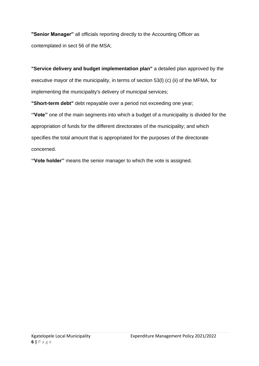**"Senior Manager"** all officials reporting directly to the Accounting Officer as contemplated in sect 56 of the MSA;

**"Service delivery and budget implementation plan"** a detailed plan approved by the executive mayor of the municipality, in terms of section 53(l) (c) (ii) of the MFMA, for implementing the municipality's delivery of municipal services;

**"Short-term debt"** debt repayable over a period not exceeding one year;

**''Vote''** one of the main segments into which a budget of a municipality is divided for the appropriation of funds for the different directorates of the municipality; and which specifies the total amount that is appropriated for the purposes of the directorate concerned.

**''Vote holder''** means the senior manager to which the vote is assigned.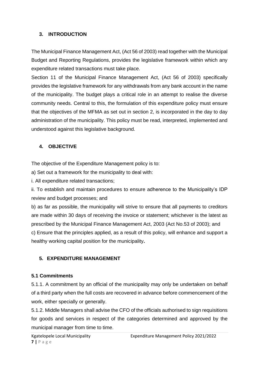#### **3. INTRODUCTION**

The Municipal Finance Management Act, (Act 56 of 2003) read together with the Municipal Budget and Reporting Regulations, provides the legislative framework within which any expenditure related transactions must take place.

Section 11 of the Municipal Finance Management Act, (Act 56 of 2003) specifically provides the legislative framework for any withdrawals from any bank account in the name of the municipality. The budget plays a critical role in an attempt to realise the diverse community needs. Central to this, the formulation of this expenditure policy must ensure that the objectives of the MFMA as set out in section 2, is incorporated in the day to day administration of the municipality. This policy must be read, interpreted, implemented and understood against this legislative background.

## **4. OBJECTIVE**

The objective of the Expenditure Management policy is to:

a) Set out a framework for the municipality to deal with:

i. All expenditure related transactions;

ii. To establish and maintain procedures to ensure adherence to the Municipality's IDP review and budget processes; and

b) as far as possible, the municipality will strive to ensure that all payments to creditors are made within 30 days of receiving the invoice or statement; whichever is the latest as prescribed by the Municipal Finance Management Act, 2003 (Act No.53 of 2003); and c) Ensure that the principles applied, as a result of this policy, will enhance and support a healthy working capital position for the municipality**.**

## **5. EXPENDITURE MANAGEMENT**

## **5.1 Commitments**

5.1.1. A commitment by an official of the municipality may only be undertaken on behalf of a third party when the full costs are recovered in advance before commencement of the work, either specially or generally.

5.1.2. Middle Managers shall advise the CFO of the officials authorised to sign requisitions for goods and services in respect of the categories determined and approved by the municipal manager from time to time.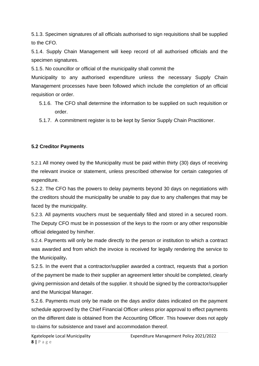5.1.3. Specimen signatures of all officials authorised to sign requisitions shall be supplied to the CFO.

5.1.4. Supply Chain Management will keep record of all authorised officials and the specimen signatures.

5.1.5. No councillor or official of the municipality shall commit the

Municipality to any authorised expenditure unless the necessary Supply Chain Management processes have been followed which include the completion of an official requisition or order.

- 5.1.6. The CFO shall determine the information to be supplied on such requisition or order.
- 5.1.7. A commitment register is to be kept by Senior Supply Chain Practitioner.

## **5.2 Creditor Payments**

5.2.1 All money owed by the Municipality must be paid within thirty (30) days of receiving the relevant invoice or statement, unless prescribed otherwise for certain categories of expenditure.

5.2.2. The CFO has the powers to delay payments beyond 30 days on negotiations with the creditors should the municipality be unable to pay due to any challenges that may be faced by the municipality.

5.2.3. All payments vouchers must be sequentially filled and stored in a secured room. The Deputy CFO must be in possession of the keys to the room or any other responsible official delegated by him/her.

5.2.4. Payments will only be made directly to the person or institution to which a contract was awarded and from which the invoice is received for legally rendering the service to the Municipality**.**

5.2.5. In the event that a contractor/supplier awarded a contract, requests that a portion of the payment be made to their supplier an agreement letter should be completed, clearly giving permission and details of the supplier. It should be signed by the contractor/supplier and the Municipal Manager.

5.2.6. Payments must only be made on the days and/or dates indicated on the payment schedule approved by the Chief Financial Officer unless prior approval to effect payments on the different date is obtained from the Accounting Officer. This however does not apply to claims for subsistence and travel and accommodation thereof.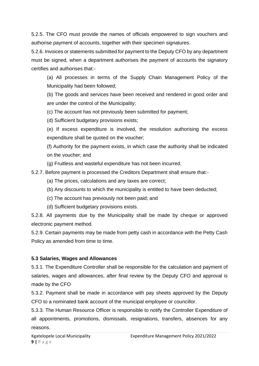5.2.5. The CFO must provide the names of officials empowered to sign vouchers and authorise payment of accounts, together with their specimen signatures.

5.2.6. Invoices or statements submitted for payment to the Deputy CFO by any department must be signed, when a department authorises the payment of accounts the signatory certifies and authorises that:-

(a) All processes in terms of the Supply Chain Management Policy of the Municipality had been followed;

(b) The goods and services have been received and rendered in good order and are under the control of the Municipality;

(c) The account has not previously been submitted for payment;

(d) Sufficient budgetary provisions exists;

(e) If excess expenditure is involved, the resolution authorising the excess expenditure shall be quoted on the voucher;

(f) Authority for the payment exists, in which case the authority shall be indicated on the voucher; and

(g) Fruitless and wasteful expenditure has not been incurred.

5.2.7. Before payment is processed the Creditors Department shall ensure that:-

- (a) The prices, calculations and any taxes are correct;
- (b) Any discounts to which the municipality is entitled to have been deducted;
- (c) The account has previously not been paid; and
- (d) Sufficient budgetary provisions exists.

5.2.8. All payments due by the Municipality shall be made by cheque or approved electronic payment method.

5.2.9. Certain payments may be made from petty cash in accordance with the Petty Cash Policy as amended from time to time.

## **5.3 Salaries, Wages and Allowances**

5.3.1. The Expenditure Controller shall be responsible for the calculation and payment of salaries, wages and allowances, after final review by the Deputy CFO and approval is made by the CFO

5.3.2. Payment shall be made in accordance with pay sheets approved by the Deputy CFO to a nominated bank account of the municipal employee or councillor.

5.3.3. The Human Resource Officer is responsible to notify the Controller Expenditure of all appointments, promotions, dismissals, resignations, transfers, absences for any reasons.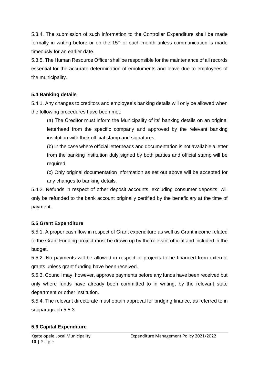5.3.4. The submission of such information to the Controller Expenditure shall be made formally in writing before or on the  $15<sup>th</sup>$  of each month unless communication is made timeously for an earlier date.

5.3.5. The Human Resource Officer shall be responsible for the maintenance of all records essential for the accurate determination of emoluments and leave due to employees of the municipality.

## **5.4 Banking details**

5.4.1. Any changes to creditors and employee's banking details will only be allowed when the following procedures have been met:

(a) The Creditor must inform the Municipality of its' banking details on an original letterhead from the specific company and approved by the relevant banking institution with their official stamp and signatures.

(b) In the case where official letterheads and documentation is not available a letter from the banking institution duly signed by both parties and official stamp will be required.

(c) Only original documentation information as set out above will be accepted for any changes to banking details.

5.4.2. Refunds in respect of other deposit accounts, excluding consumer deposits, will only be refunded to the bank account originally certified by the beneficiary at the time of payment.

## **5.5 Grant Expenditure**

5.5.1. A proper cash flow in respect of Grant expenditure as well as Grant income related to the Grant Funding project must be drawn up by the relevant official and included in the budget.

5.5.2. No payments will be allowed in respect of projects to be financed from external grants unless grant funding have been received.

5.5.3. Council may, however, approve payments before any funds have been received but only where funds have already been committed to in writing, by the relevant state department or other institution.

5.5.4. The relevant directorate must obtain approval for bridging finance, as referred to in subparagraph 5.5.3.

#### **5.6 Capital Expenditure**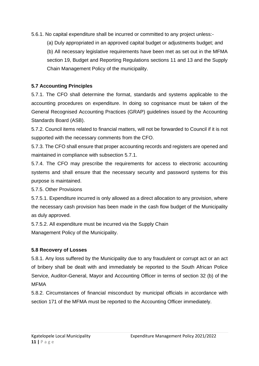5.6.1. No capital expenditure shall be incurred or committed to any project unless:-

(a) Duly appropriated in an approved capital budget or adjustments budget; and (b) All necessary legislative requirements have been met as set out in the MFMA section 19, Budget and Reporting Regulations sections 11 and 13 and the Supply Chain Management Policy of the municipality.

## **5.7 Accounting Principles**

5.7.1. The CFO shall determine the format, standards and systems applicable to the accounting procedures on expenditure. In doing so cognisance must be taken of the General Recognised Accounting Practices (GRAP) guidelines issued by the Accounting Standards Board (ASB).

5.7.2. Council items related to financial matters, will not be forwarded to Council if it is not supported with the necessary comments from the CFO.

5.7.3. The CFO shall ensure that proper accounting records and registers are opened and maintained in compliance with subsection 5.7.1.

5.7.4. The CFO may prescribe the requirements for access to electronic accounting systems and shall ensure that the necessary security and password systems for this purpose is maintained.

5.7.5. Other Provisions

5.7.5.1. Expenditure incurred is only allowed as a direct allocation to any provision, where the necessary cash provision has been made in the cash flow budget of the Municipality as duly approved.

5.7.5.2. All expenditure must be incurred via the Supply Chain Management Policy of the Municipality.

## **5.8 Recovery of Losses**

5.8.1. Any loss suffered by the Municipality due to any fraudulent or corrupt act or an act of bribery shall be dealt with and immediately be reported to the South African Police Service, Auditor-General, Mayor and Accounting Officer in terms of section 32 (b) of the MFMA

5.8.2. Circumstances of financial misconduct by municipal officials in accordance with section 171 of the MFMA must be reported to the Accounting Officer immediately.